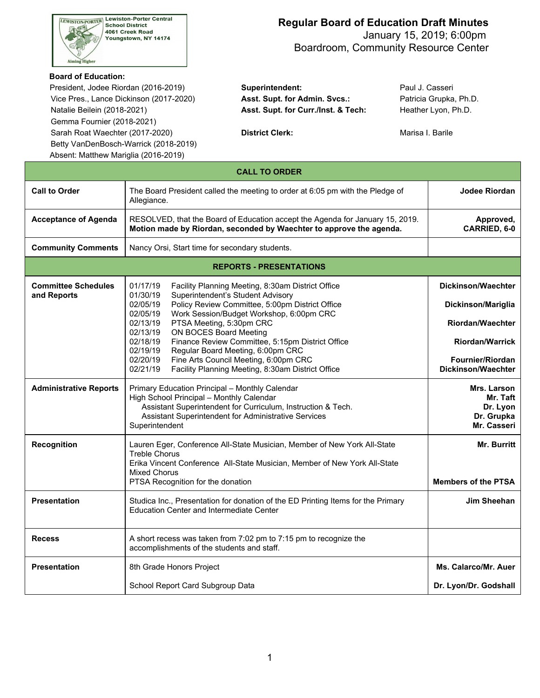

 January 15, 2019; 6:00pm Boardroom, Community Resource Center

#### **Board of Education:**

President, Jodee Riordan (2016-2019) **Superintendent:** Paul J. Casseri Vice Pres., Lance Dickinson (2017-2020) **Asst. Supt. for Admin. Svcs.:** Patricia Grupka, Ph.D. Natalie Beilein (2018-2021) **Asst. Supt. for Curr./Inst. & Tech:** Heather Lyon, Ph.D. Gemma Fournier (2018-2021) Sarah Roat Waechter (2017-2020) **District Clerk: District Cleanul Clerk:** Marisa I. Barile Betty VanDenBosch-Warrick (2018-2019) Absent: Matthew Mariglia (2016-2019)

| <b>CALL TO ORDER</b>                      |                                                                                                                                                                                                                                                                                                                                                                                                                                                                                                                                                            |                                                                                                                                  |  |  |  |
|-------------------------------------------|------------------------------------------------------------------------------------------------------------------------------------------------------------------------------------------------------------------------------------------------------------------------------------------------------------------------------------------------------------------------------------------------------------------------------------------------------------------------------------------------------------------------------------------------------------|----------------------------------------------------------------------------------------------------------------------------------|--|--|--|
| <b>Call to Order</b>                      | The Board President called the meeting to order at 6:05 pm with the Pledge of<br>Allegiance.                                                                                                                                                                                                                                                                                                                                                                                                                                                               | Jodee Riordan                                                                                                                    |  |  |  |
| <b>Acceptance of Agenda</b>               | RESOLVED, that the Board of Education accept the Agenda for January 15, 2019.<br>Motion made by Riordan, seconded by Waechter to approve the agenda.                                                                                                                                                                                                                                                                                                                                                                                                       | Approved,<br>CARRIED, 6-0                                                                                                        |  |  |  |
| <b>Community Comments</b>                 | Nancy Orsi, Start time for secondary students.                                                                                                                                                                                                                                                                                                                                                                                                                                                                                                             |                                                                                                                                  |  |  |  |
|                                           | <b>REPORTS - PRESENTATIONS</b>                                                                                                                                                                                                                                                                                                                                                                                                                                                                                                                             |                                                                                                                                  |  |  |  |
| <b>Committee Schedules</b><br>and Reports | 01/17/19<br>Facility Planning Meeting, 8:30am District Office<br>01/30/19<br>Superintendent's Student Advisory<br>02/05/19<br>Policy Review Committee, 5:00pm District Office<br>02/05/19<br>Work Session/Budget Workshop, 6:00pm CRC<br>02/13/19<br>PTSA Meeting, 5:30pm CRC<br>ON BOCES Board Meeting<br>02/13/19<br>02/18/19<br>Finance Review Committee, 5:15pm District Office<br>Regular Board Meeting, 6:00pm CRC<br>02/19/19<br>Fine Arts Council Meeting, 6:00pm CRC<br>02/20/19<br>Facility Planning Meeting, 8:30am District Office<br>02/21/19 | Dickinson/Waechter<br>Dickinson/Mariglia<br>Riordan/Waechter<br><b>Riordan/Warrick</b><br>Fournier/Riordan<br>Dickinson/Waechter |  |  |  |
| <b>Administrative Reports</b>             | Primary Education Principal - Monthly Calendar<br>High School Principal - Monthly Calendar<br>Assistant Superintendent for Curriculum, Instruction & Tech.<br>Assistant Superintendent for Administrative Services<br>Superintendent                                                                                                                                                                                                                                                                                                                       | Mrs. Larson<br>Mr. Taft<br>Dr. Lyon<br>Dr. Grupka<br>Mr. Casseri                                                                 |  |  |  |
| Recognition                               | Lauren Eger, Conference All-State Musician, Member of New York All-State<br>Treble Chorus<br>Erika Vincent Conference All-State Musician, Member of New York All-State<br>Mixed Chorus<br>PTSA Recognition for the donation                                                                                                                                                                                                                                                                                                                                | Mr. Burritt<br><b>Members of the PTSA</b>                                                                                        |  |  |  |
| <b>Presentation</b>                       | Studica Inc., Presentation for donation of the ED Printing Items for the Primary<br>Education Center and Intermediate Center                                                                                                                                                                                                                                                                                                                                                                                                                               | Jim Sheehan                                                                                                                      |  |  |  |
| <b>Recess</b>                             | A short recess was taken from 7:02 pm to 7:15 pm to recognize the<br>accomplishments of the students and staff.                                                                                                                                                                                                                                                                                                                                                                                                                                            |                                                                                                                                  |  |  |  |
| <b>Presentation</b>                       | 8th Grade Honors Project                                                                                                                                                                                                                                                                                                                                                                                                                                                                                                                                   | Ms. Calarco/Mr. Auer                                                                                                             |  |  |  |
|                                           | School Report Card Subgroup Data                                                                                                                                                                                                                                                                                                                                                                                                                                                                                                                           | Dr. Lyon/Dr. Godshall                                                                                                            |  |  |  |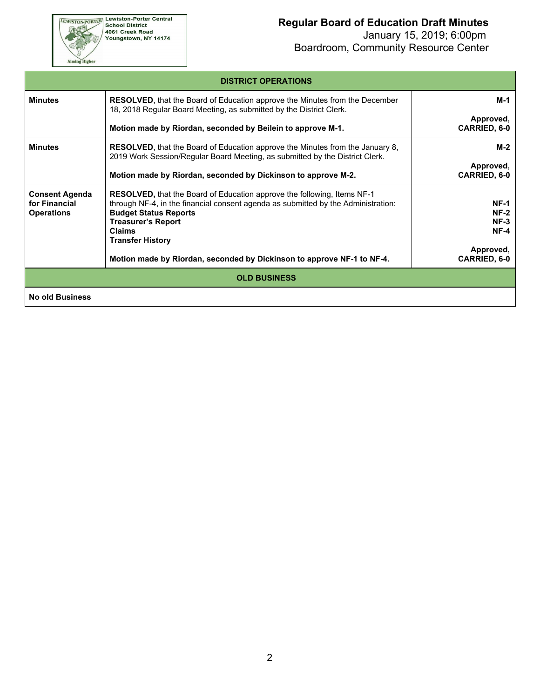EWISTON-PORTER Lewiston-Porter Central<br>School District<br>4061 Creek Road<br>Youngstown, NY 14174

Aiming Higher

# **Regular Board of Education Draft Minutes**

 January 15, 2019; 6:00pm Boardroom, Community Resource Center

| <b>DISTRICT OPERATIONS</b>                                  |                                                                                                                                                                                                                                                                                                                                                        |                                                                               |  |  |
|-------------------------------------------------------------|--------------------------------------------------------------------------------------------------------------------------------------------------------------------------------------------------------------------------------------------------------------------------------------------------------------------------------------------------------|-------------------------------------------------------------------------------|--|--|
| <b>Minutes</b>                                              | <b>RESOLVED, that the Board of Education approve the Minutes from the December</b><br>18, 2018 Regular Board Meeting, as submitted by the District Clerk.<br>Motion made by Riordan, seconded by Beilein to approve M-1.                                                                                                                               | M-1<br>Approved,<br><b>CARRIED, 6-0</b>                                       |  |  |
| <b>Minutes</b>                                              | <b>RESOLVED</b> , that the Board of Education approve the Minutes from the January 8,<br>2019 Work Session/Regular Board Meeting, as submitted by the District Clerk.<br>Motion made by Riordan, seconded by Dickinson to approve M-2.                                                                                                                 | M-2<br>Approved,<br><b>CARRIED, 6-0</b>                                       |  |  |
| <b>Consent Agenda</b><br>for Financial<br><b>Operations</b> | <b>RESOLVED, that the Board of Education approve the following, Items NF-1</b><br>through NF-4, in the financial consent agenda as submitted by the Administration:<br><b>Budget Status Reports</b><br><b>Treasurer's Report</b><br><b>Claims</b><br><b>Transfer History</b><br>Motion made by Riordan, seconded by Dickinson to approve NF-1 to NF-4. | <b>NF-1</b><br>$NF-2$<br>$NF-3$<br>$NF-4$<br>Approved,<br><b>CARRIED, 6-0</b> |  |  |
| <b>OLD BUSINESS</b>                                         |                                                                                                                                                                                                                                                                                                                                                        |                                                                               |  |  |
| <b>No old Business</b>                                      |                                                                                                                                                                                                                                                                                                                                                        |                                                                               |  |  |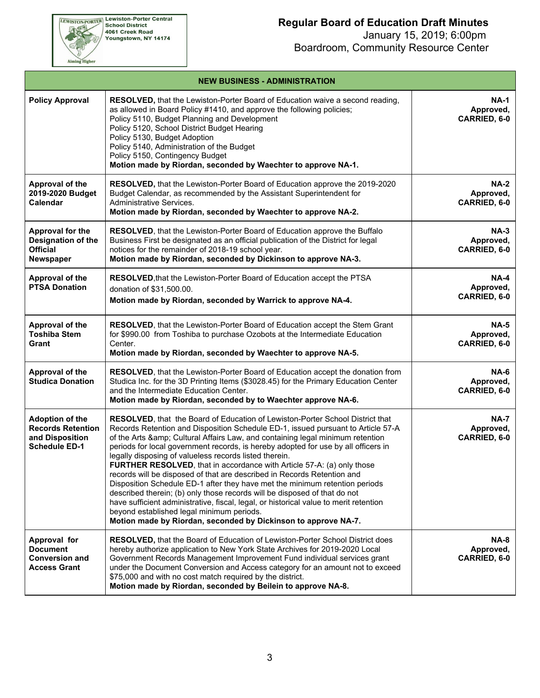January 15, 2019; 6:00pm Boardroom, Community Resource Center

| <b>NEW BUSINESS - ADMINISTRATION</b>                                                          |                                                                                                                                                                                                                                                                                                                                                                                                                                                                                                                                                                                                                                                                                                                                                                                                                                                                                                                          |                                                 |  |  |
|-----------------------------------------------------------------------------------------------|--------------------------------------------------------------------------------------------------------------------------------------------------------------------------------------------------------------------------------------------------------------------------------------------------------------------------------------------------------------------------------------------------------------------------------------------------------------------------------------------------------------------------------------------------------------------------------------------------------------------------------------------------------------------------------------------------------------------------------------------------------------------------------------------------------------------------------------------------------------------------------------------------------------------------|-------------------------------------------------|--|--|
| <b>Policy Approval</b>                                                                        | RESOLVED, that the Lewiston-Porter Board of Education waive a second reading,<br>as allowed in Board Policy #1410, and approve the following policies;<br>Policy 5110, Budget Planning and Development<br>Policy 5120, School District Budget Hearing<br>Policy 5130, Budget Adoption<br>Policy 5140, Administration of the Budget<br>Policy 5150, Contingency Budget<br>Motion made by Riordan, seconded by Waechter to approve NA-1.                                                                                                                                                                                                                                                                                                                                                                                                                                                                                   | <b>NA-1</b><br>Approved,<br>CARRIED, 6-0        |  |  |
| Approval of the<br>2019-2020 Budget<br>Calendar                                               | RESOLVED, that the Lewiston-Porter Board of Education approve the 2019-2020<br>Budget Calendar, as recommended by the Assistant Superintendent for<br>Administrative Services.<br>Motion made by Riordan, seconded by Waechter to approve NA-2.                                                                                                                                                                                                                                                                                                                                                                                                                                                                                                                                                                                                                                                                          | <b>NA-2</b><br>Approved,<br>CARRIED, 6-0        |  |  |
| Approval for the<br>Designation of the<br><b>Official</b><br><b>Newspaper</b>                 | RESOLVED, that the Lewiston-Porter Board of Education approve the Buffalo<br>Business First be designated as an official publication of the District for legal<br>notices for the remainder of 2018-19 school year.<br>Motion made by Riordan, seconded by Dickinson to approve NA-3.                                                                                                                                                                                                                                                                                                                                                                                                                                                                                                                                                                                                                                    | $NA-3$<br>Approved,<br>CARRIED, 6-0             |  |  |
| Approval of the<br><b>PTSA Donation</b>                                                       | RESOLVED, that the Lewiston-Porter Board of Education accept the PTSA<br>donation of \$31,500.00.<br>Motion made by Riordan, seconded by Warrick to approve NA-4.                                                                                                                                                                                                                                                                                                                                                                                                                                                                                                                                                                                                                                                                                                                                                        | <b>NA-4</b><br>Approved,<br>CARRIED, 6-0        |  |  |
| Approval of the<br><b>Toshiba Stem</b><br>Grant                                               | RESOLVED, that the Lewiston-Porter Board of Education accept the Stem Grant<br>for \$990.00 from Toshiba to purchase Ozobots at the Intermediate Education<br>Center.<br>Motion made by Riordan, seconded by Waechter to approve NA-5.                                                                                                                                                                                                                                                                                                                                                                                                                                                                                                                                                                                                                                                                                   | $NA-5$<br>Approved,<br>CARRIED, 6-0             |  |  |
| Approval of the<br><b>Studica Donation</b>                                                    | RESOLVED, that the Lewiston-Porter Board of Education accept the donation from<br>Studica Inc. for the 3D Printing Items (\$3028.45) for the Primary Education Center<br>and the Intermediate Education Center.<br>Motion made by Riordan, seconded by to Waechter approve NA-6.                                                                                                                                                                                                                                                                                                                                                                                                                                                                                                                                                                                                                                         | $NA-6$<br>Approved,<br>CARRIED, 6-0             |  |  |
| <b>Adoption of the</b><br><b>Records Retention</b><br>and Disposition<br><b>Schedule ED-1</b> | RESOLVED, that the Board of Education of Lewiston-Porter School District that<br>Records Retention and Disposition Schedule ED-1, issued pursuant to Article 57-A<br>of the Arts & Cultural Affairs Law, and containing legal minimum retention<br>periods for local government records, is hereby adopted for use by all officers in<br>legally disposing of valueless records listed therein.<br>FURTHER RESOLVED, that in accordance with Article 57-A: (a) only those<br>records will be disposed of that are described in Records Retention and<br>Disposition Schedule ED-1 after they have met the minimum retention periods<br>described therein; (b) only those records will be disposed of that do not<br>have sufficient administrative, fiscal, legal, or historical value to merit retention<br>beyond established legal minimum periods.<br>Motion made by Riordan, seconded by Dickinson to approve NA-7. | <b>NA-7</b><br>Approved,<br>CARRIED, 6-0        |  |  |
| Approval for<br><b>Document</b><br><b>Conversion and</b><br><b>Access Grant</b>               | RESOLVED, that the Board of Education of Lewiston-Porter School District does<br>hereby authorize application to New York State Archives for 2019-2020 Local<br>Government Records Management Improvement Fund individual services grant<br>under the Document Conversion and Access category for an amount not to exceed<br>\$75,000 and with no cost match required by the district.<br>Motion made by Riordan, seconded by Beilein to approve NA-8.                                                                                                                                                                                                                                                                                                                                                                                                                                                                   | <b>NA-8</b><br>Approved,<br><b>CARRIED, 6-0</b> |  |  |



EWISTON-PORTER Lewiston-Porter Central<br>School District<br>4061 Creek Road<br>Youngstown, NY 14174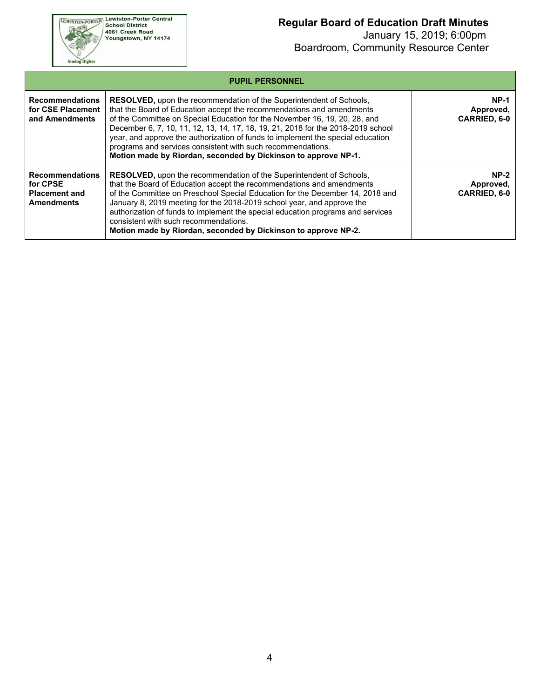

 January 15, 2019; 6:00pm Boardroom, Community Resource Center

| <b>PUPIL PERSONNEL</b>                                                          |                                                                                                                                                                                                                                                                                                                                                                                                                                                                                                                                    |                                            |  |  |
|---------------------------------------------------------------------------------|------------------------------------------------------------------------------------------------------------------------------------------------------------------------------------------------------------------------------------------------------------------------------------------------------------------------------------------------------------------------------------------------------------------------------------------------------------------------------------------------------------------------------------|--------------------------------------------|--|--|
| <b>Recommendations</b><br>for CSE Placement<br>and Amendments                   | RESOLVED, upon the recommendation of the Superintendent of Schools,<br>that the Board of Education accept the recommendations and amendments<br>of the Committee on Special Education for the November 16, 19, 20, 28, and<br>December 6, 7, 10, 11, 12, 13, 14, 17, 18, 19, 21, 2018 for the 2018-2019 school<br>year, and approve the authorization of funds to implement the special education<br>programs and services consistent with such recommendations.<br>Motion made by Riordan, seconded by Dickinson to approve NP-1. | $NP-1$<br>Approved,<br>CARRIED, 6-0        |  |  |
| <b>Recommendations</b><br>for CPSE<br><b>Placement and</b><br><b>Amendments</b> | <b>RESOLVED, upon the recommendation of the Superintendent of Schools,</b><br>that the Board of Education accept the recommendations and amendments<br>of the Committee on Preschool Special Education for the December 14, 2018 and<br>January 8, 2019 meeting for the 2018-2019 school year, and approve the<br>authorization of funds to implement the special education programs and services<br>consistent with such recommendations.<br>Motion made by Riordan, seconded by Dickinson to approve NP-2.                       | $NP-2$<br>Approved,<br><b>CARRIED, 6-0</b> |  |  |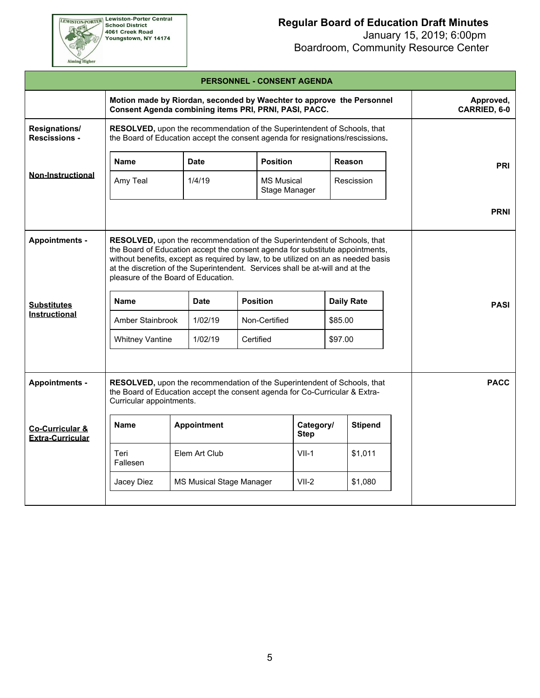

 January 15, 2019; 6:00pm Boardroom, Community Resource Center

|                                                       |                                                                                                                                                                                                                                                                                                                                                                                                                                              |                          |                 | <b>PERSONNEL - CONSENT AGENDA</b>          |               |                           |             |
|-------------------------------------------------------|----------------------------------------------------------------------------------------------------------------------------------------------------------------------------------------------------------------------------------------------------------------------------------------------------------------------------------------------------------------------------------------------------------------------------------------------|--------------------------|-----------------|--------------------------------------------|---------------|---------------------------|-------------|
|                                                       | Motion made by Riordan, seconded by Waechter to approve the Personnel<br>Consent Agenda combining items PRI, PRNI, PASI, PACC.                                                                                                                                                                                                                                                                                                               |                          |                 |                                            |               | Approved,<br>CARRIED, 6-0 |             |
| Resignations/<br><b>Rescissions -</b>                 | RESOLVED, upon the recommendation of the Superintendent of Schools, that<br>the Board of Education accept the consent agenda for resignations/rescissions.                                                                                                                                                                                                                                                                                   |                          |                 |                                            |               |                           |             |
|                                                       | <b>Name</b>                                                                                                                                                                                                                                                                                                                                                                                                                                  | <b>Date</b>              | <b>Position</b> |                                            | <b>Reason</b> |                           | <b>PRI</b>  |
| <b>Non-Instructional</b>                              | Amy Teal                                                                                                                                                                                                                                                                                                                                                                                                                                     | 1/4/19                   |                 | <b>MS Musical</b><br>Stage Manager         |               | Rescission                |             |
|                                                       |                                                                                                                                                                                                                                                                                                                                                                                                                                              |                          |                 |                                            |               |                           | <b>PRNI</b> |
| <b>Appointments -</b>                                 | RESOLVED, upon the recommendation of the Superintendent of Schools, that<br>the Board of Education accept the consent agenda for substitute appointments,<br>without benefits, except as required by law, to be utilized on an as needed basis<br>at the discretion of the Superintendent. Services shall be at-will and at the<br>pleasure of the Board of Education.<br><b>Position</b><br><b>Daily Rate</b><br><b>Name</b><br><b>Date</b> |                          |                 |                                            |               |                           |             |
| <b>Substitutes</b><br><b>Instructional</b>            | Amber Stainbrook                                                                                                                                                                                                                                                                                                                                                                                                                             | 1/02/19                  | Non-Certified   |                                            | \$85.00       |                           | <b>PASI</b> |
|                                                       | <b>Whitney Vantine</b>                                                                                                                                                                                                                                                                                                                                                                                                                       | 1/02/19                  | Certified       |                                            | \$97.00       |                           |             |
|                                                       |                                                                                                                                                                                                                                                                                                                                                                                                                                              |                          |                 |                                            |               |                           |             |
| <b>Appointments -</b>                                 | RESOLVED, upon the recommendation of the Superintendent of Schools, that<br><b>PACC</b><br>the Board of Education accept the consent agenda for Co-Curricular & Extra-<br>Curricular appointments.                                                                                                                                                                                                                                           |                          |                 |                                            |               |                           |             |
| <b>Co-Curricular &amp;</b><br><b>Extra-Curricular</b> | <b>Name</b>                                                                                                                                                                                                                                                                                                                                                                                                                                  | Appointment              |                 | <b>Stipend</b><br>Category/<br><b>Step</b> |               |                           |             |
|                                                       | Teri<br>Fallesen                                                                                                                                                                                                                                                                                                                                                                                                                             | Elem Art Club            |                 | $VII-1$                                    |               | \$1,011                   |             |
|                                                       | Jacey Diez                                                                                                                                                                                                                                                                                                                                                                                                                                   | MS Musical Stage Manager |                 | $VII-2$                                    | \$1,080       |                           |             |
|                                                       |                                                                                                                                                                                                                                                                                                                                                                                                                                              |                          |                 |                                            |               |                           |             |